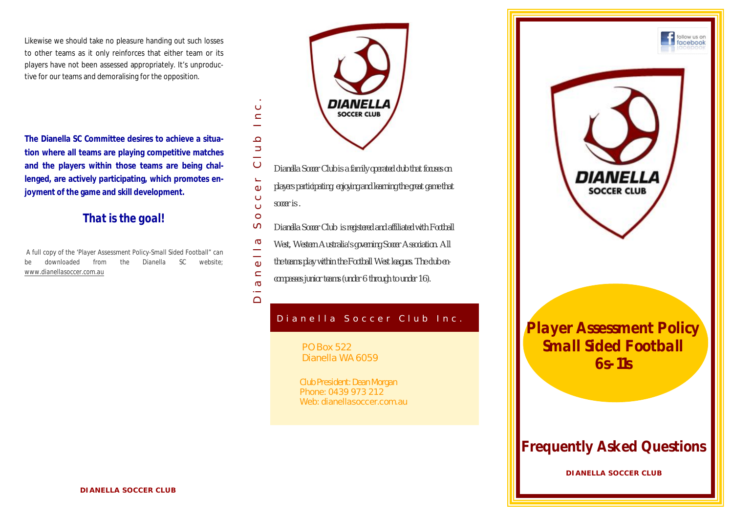Likewise we should take no pleasure handing out such losses to other teams as it only reinforces that either team or its players have not been assessed appropriately. It's unproductive for our teams and demoralising for the opposition.

**The Dianella SC Committee desires to achieve a situation where all teams are playing competitive matches and the players within those teams are being challenged, are actively participating, which promotes enjoyment of the game and skill development.**

# *That is the goal!*

*A full copy of the 'Player Assessment Policy-Small Sided Football" can be downloaded from the Dianella SC website; www.dianellasoccer.com.au*



- $\circ$ *Dianella Soccer Club is a family operated club that focuses on*
- Dianella Soccer Club Inc.<br>D  $\Box$ *players participating, enjoying and learning the great game that*   $\omega$  $\ddot{\circ}$
- *soccer is .*  $\circ$

 $\epsilon$ 

 $\subset$  $\overline{\phantom{0}}$  $\Omega$  $\Rightarrow$  $\equiv$ 

 $\circ$ 

 $\overline{\phantom{0}}$  $\bigcap$ 

- $\sigma$ *Dianella Soccer Club is registered and affiliated with Football*
- $\sigma$ *West, Western Australia's governing Soccer Association. All*
- $\frac{1}{\omega}$ *the teams play within the Football West leagues. The club en-*
- $\subset$ *compasses junior teams (under 6 through to under 16).*  $\sigma$

# Dianella Soccer Club Inc.

PO Box 522 Dianella WA 6059

Club President: Dean Morgan Phone: 0439 973 212 Web: dianellasoccer.com.au



B u s i n e s s N a m e *Player Assessment Policy Small Sided Football 6s-11s*

# *Frequently Asked Questions*

**DIANELLA SOCCER CLUB**